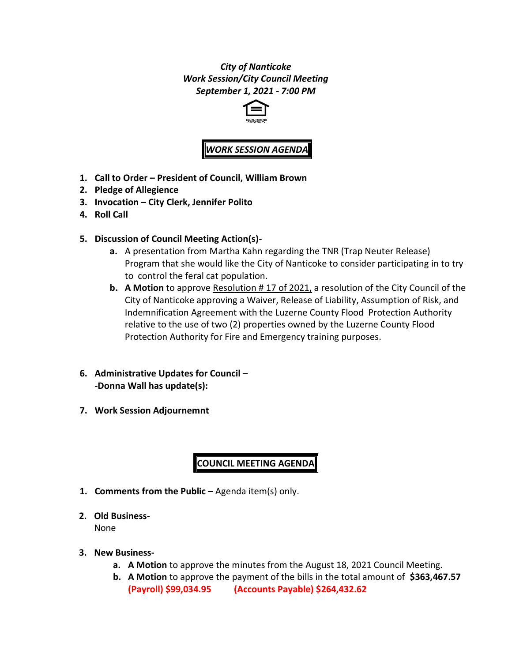*City of Nanticoke Work Session/City Council Meeting September 1, 2021 - 7:00 PM*



# *WORK SESSION AGEND*

- **1. Call to Order – President of Council, William Brown**
- **2. Pledge of Allegience**
- **3. Invocation – City Clerk, Jennifer Polito**
- **4. Roll Call**
- **5. Discussion of Council Meeting Action(s)**
	- **a.** A presentation from Martha Kahn regarding the TNR (Trap Neuter Release) Program that she would like the City of Nanticoke to consider participating in to try to control the feral cat population.
	- **b. A Motion** to approve Resolution # 17 of 2021, a resolution of the City Council of the City of Nanticoke approving a Waiver, Release of Liability, Assumption of Risk, and Indemnification Agreement with the Luzerne County Flood Protection Authority relative to the use of two (2) properties owned by the Luzerne County Flood Protection Authority for Fire and Emergency training purposes.
- **6. Administrative Updates for Council – -Donna Wall has update(s):**
- **7. Work Session Adjournemnt**

## **COUNCIL MEETING AGENDA**

- **1. Comments from the Public –** Agenda item(s) only.
- **2. Old Business-**

None

- **3. New Business**
	- **a. A Motion** to approve the minutes from the August 18, 2021 Council Meeting.
	- **b. A Motion** to approve the payment of the bills in the total amount of **\$363,467.57 (Payroll) \$99,034.95 (Accounts Payable) \$264,432.62**